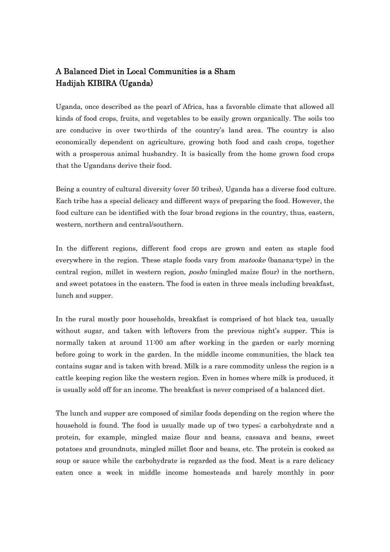## A Balanced Diet in Local Communities is a Sham Hadijah KIBIRA (Uganda)

Uganda, once described as the pearl of Africa, has a favorable climate that allowed all kinds of food crops, fruits, and vegetables to be easily grown organically. The soils too are conducive in over two-thirds of the country's land area. The country is also economically dependent on agriculture, growing both food and cash crops, together with a prosperous animal husbandry. It is basically from the home grown food crops that the Ugandans derive their food.

Being a country of cultural diversity (over 50 tribes), Uganda has a diverse food culture. Each tribe has a special delicacy and different ways of preparing the food. However, the food culture can be identified with the four broad regions in the country, thus, eastern, western, northern and central/southern.

In the different regions, different food crops are grown and eaten as staple food everywhere in the region. These staple foods vary from *matooke* (banana-type) in the central region, millet in western region, *posho* (mingled maize flour) in the northern, and sweet potatoes in the eastern. The food is eaten in three meals including breakfast, lunch and supper.

In the rural mostly poor households, breakfast is comprised of hot black tea, usually without sugar, and taken with leftovers from the previous night's supper. This is normally taken at around 11:00 am after working in the garden or early morning before going to work in the garden. In the middle income communities, the black tea contains sugar and is taken with bread. Milk is a rare commodity unless the region is a cattle keeping region like the western region. Even in homes where milk is produced, it is usually sold off for an income. The breakfast is never comprised of a balanced diet.

The lunch and supper are composed of similar foods depending on the region where the household is found. The food is usually made up of two types; a carbohydrate and a protein, for example, mingled maize flour and beans, cassava and beans, sweet potatoes and groundnuts, mingled millet floor and beans, etc. The protein is cooked as soup or sauce while the carbohydrate is regarded as the food. Meat is a rare delicacy eaten once a week in middle income homesteads and barely monthly in poor